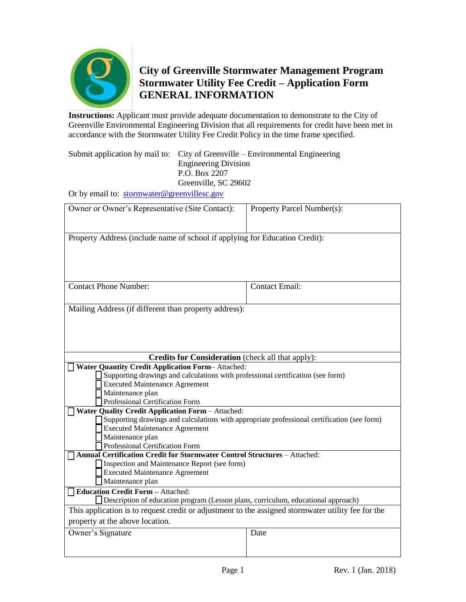

# **City of Greenville Stormwater Management Program Stormwater Utility Fee Credit – Application Form GENERAL INFORMATION**

**Instructions:** Applicant must provide adequate documentation to demonstrate to the City of Greenville Environmental Engineering Division that all requirements for credit have been met in accordance with the Stormwater Utility Fee Credit Policy in the time frame specified.

Submit application by mail to: City of Greenville – Environmental Engineering Engineering Division P.O. Box 2207 Greenville, SC 29602

Or by email to: [stormwater@greenvillesc.gov](mailto:stormwater@greenvillesc.gov)

| Owner or Owner's Representative (Site Contact):                                                                     | Property Parcel Number(s): |  |
|---------------------------------------------------------------------------------------------------------------------|----------------------------|--|
|                                                                                                                     |                            |  |
| Property Address (include name of school if applying for Education Credit):                                         |                            |  |
|                                                                                                                     |                            |  |
|                                                                                                                     |                            |  |
|                                                                                                                     |                            |  |
| <b>Contact Phone Number:</b>                                                                                        | <b>Contact Email:</b>      |  |
|                                                                                                                     |                            |  |
| Mailing Address (if different than property address):                                                               |                            |  |
|                                                                                                                     |                            |  |
|                                                                                                                     |                            |  |
|                                                                                                                     |                            |  |
| <b>Credits for Consideration</b> (check all that apply):<br><b>Water Quantity Credit Application Form-Attached:</b> |                            |  |
| Supporting drawings and calculations with professional certification (see form)                                     |                            |  |
| <b>Executed Maintenance Agreement</b>                                                                               |                            |  |
| Maintenance plan                                                                                                    |                            |  |
| Professional Certification Form                                                                                     |                            |  |
| <b>Water Quality Credit Application Form - Attached:</b>                                                            |                            |  |
| Supporting drawings and calculations with appropriate professional certification (see form)                         |                            |  |
| <b>Executed Maintenance Agreement</b>                                                                               |                            |  |
| Maintenance plan                                                                                                    |                            |  |
| Professional Certification Form                                                                                     |                            |  |
| Annual Certification Credit for Stormwater Control Structures - Attached:                                           |                            |  |
| Inspection and Maintenance Report (see form)                                                                        |                            |  |
| Executed Maintenance Agreement                                                                                      |                            |  |
| Maintenance plan                                                                                                    |                            |  |
| <b>Education Credit Form - Attached:</b>                                                                            |                            |  |
| Description of education program (Lesson plans, curriculum, educational approach)                                   |                            |  |
| This application is to request credit or adjustment to the assigned stormwater utility fee for the                  |                            |  |
| property at the above location.                                                                                     |                            |  |
| Owner's Signature                                                                                                   | Date                       |  |
|                                                                                                                     |                            |  |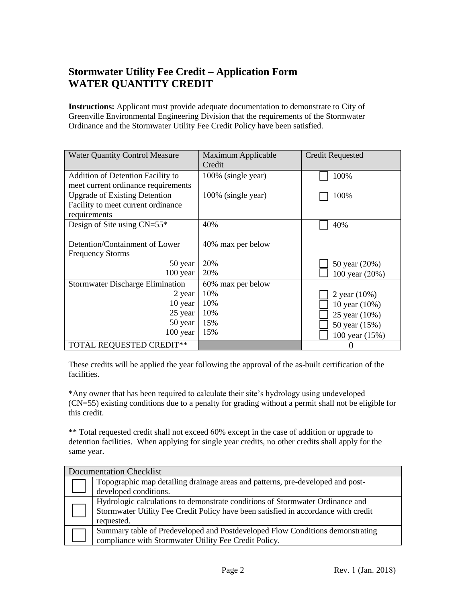## **Stormwater Utility Fee Credit – Application Form WATER QUANTITY CREDIT**

**Instructions:** Applicant must provide adequate documentation to demonstrate to City of Greenville Environmental Engineering Division that the requirements of the Stormwater Ordinance and the Stormwater Utility Fee Credit Policy have been satisfied.

| <b>Water Quantity Control Measure</b>    | Maximum Applicable<br>Credit | <b>Credit Requested</b> |
|------------------------------------------|------------------------------|-------------------------|
| <b>Addition of Detention Facility to</b> | 100% (single year)           | 100%                    |
| meet current ordinance requirements      |                              |                         |
| <b>Upgrade of Existing Detention</b>     | 100% (single year)           | 100%                    |
| Facility to meet current ordinance       |                              |                         |
| requirements                             |                              |                         |
| Design of Site using $CN=55*$            | 40%                          | 40%                     |
|                                          |                              |                         |
| Detention/Containment of Lower           | 40% max per below            |                         |
| <b>Frequency Storms</b>                  |                              |                         |
| 50 year                                  | 20%                          | 50 year (20%)           |
| $100$ year                               | 20%                          | 100 year (20%)          |
| <b>Stormwater Discharge Elimination</b>  | 60% max per below            |                         |
| 2 year                                   | 10%                          | 2 year (10%)            |
| 10 year                                  | 10%                          | 10 year (10%)           |
| 25 year                                  | 10%                          | 25 year (10%)           |
| 50 year                                  | 15%                          | 50 year (15%)           |
| 100 year                                 | 15%                          | 100 year (15%)          |
| <b>TOTAL REQUESTED CREDIT**</b>          |                              |                         |

These credits will be applied the year following the approval of the as-built certification of the facilities.

\*Any owner that has been required to calculate their site's hydrology using undeveloped (CN=55) existing conditions due to a penalty for grading without a permit shall not be eligible for this credit.

\*\* Total requested credit shall not exceed 60% except in the case of addition or upgrade to detention facilities. When applying for single year credits, no other credits shall apply for the same year.

| <b>Documentation Checklist</b>                                                                                                                                                    |
|-----------------------------------------------------------------------------------------------------------------------------------------------------------------------------------|
| Topographic map detailing drainage areas and patterns, pre-developed and post-<br>developed conditions.                                                                           |
| Hydrologic calculations to demonstrate conditions of Stormwater Ordinance and<br>Stormwater Utility Fee Credit Policy have been satisfied in accordance with credit<br>requested. |
| Summary table of Predeveloped and Postdeveloped Flow Conditions demonstrating<br>compliance with Stormwater Utility Fee Credit Policy.                                            |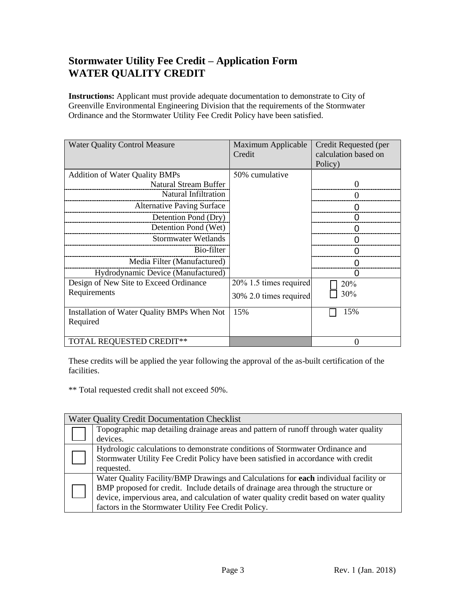#### **Stormwater Utility Fee Credit – Application Form WATER QUALITY CREDIT**

**Instructions:** Applicant must provide adequate documentation to demonstrate to City of Greenville Environmental Engineering Division that the requirements of the Stormwater Ordinance and the Stormwater Utility Fee Credit Policy have been satisfied.

| <b>Water Quality Control Measure</b>        | Maximum Applicable<br>Credit | Credit Requested (per<br>calculation based on<br>Policy) |
|---------------------------------------------|------------------------------|----------------------------------------------------------|
| <b>Addition of Water Quality BMPs</b>       | 50% cumulative               |                                                          |
| <b>Natural Stream Buffer</b>                |                              |                                                          |
| Natural Infiltration                        |                              |                                                          |
| <b>Alternative Paving Surface</b>           |                              |                                                          |
| Detention Pond (Dry)                        |                              |                                                          |
| Detention Pond (Wet)                        |                              |                                                          |
| <b>Stormwater Wetlands</b>                  |                              |                                                          |
| Bio-filter                                  |                              |                                                          |
| Media Filter (Manufactured)                 |                              |                                                          |
| Hydrodynamic Device (Manufactured)          |                              |                                                          |
| Design of New Site to Exceed Ordinance      | 20% 1.5 times required       | 20%                                                      |
| Requirements                                | 30% 2.0 times required       | 30%                                                      |
| Installation of Water Quality BMPs When Not | 15%                          | 15%                                                      |
| Required                                    |                              |                                                          |
|                                             |                              |                                                          |
| <b>TOTAL REQUESTED CREDIT**</b>             |                              |                                                          |

These credits will be applied the year following the approval of the as-built certification of the facilities.

\*\* Total requested credit shall not exceed 50%.

| <b>Water Quality Credit Documentation Checklist</b> |                                                                                         |  |  |
|-----------------------------------------------------|-----------------------------------------------------------------------------------------|--|--|
|                                                     | Topographic map detailing drainage areas and pattern of runoff through water quality    |  |  |
|                                                     | devices.                                                                                |  |  |
|                                                     | Hydrologic calculations to demonstrate conditions of Stormwater Ordinance and           |  |  |
|                                                     | Stormwater Utility Fee Credit Policy have been satisfied in accordance with credit      |  |  |
|                                                     | requested.                                                                              |  |  |
|                                                     | Water Quality Facility/BMP Drawings and Calculations for each individual facility or    |  |  |
|                                                     | BMP proposed for credit. Include details of drainage area through the structure or      |  |  |
|                                                     | device, impervious area, and calculation of water quality credit based on water quality |  |  |
|                                                     | factors in the Stormwater Utility Fee Credit Policy.                                    |  |  |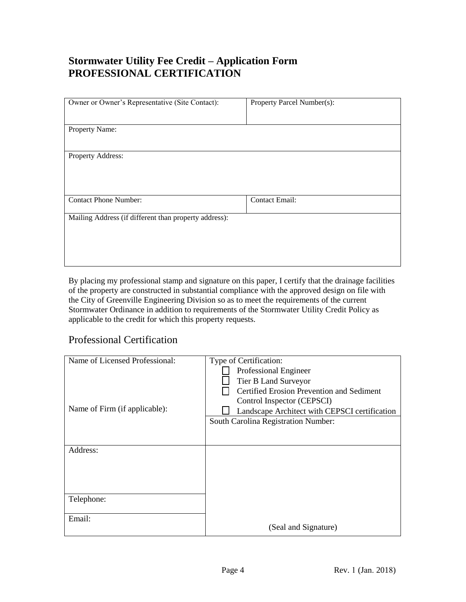## **Stormwater Utility Fee Credit – Application Form PROFESSIONAL CERTIFICATION**

| Owner or Owner's Representative (Site Contact):       | Property Parcel Number(s): |
|-------------------------------------------------------|----------------------------|
|                                                       |                            |
| Property Name:                                        |                            |
|                                                       |                            |
| Property Address:                                     |                            |
|                                                       |                            |
|                                                       |                            |
| <b>Contact Phone Number:</b>                          | <b>Contact Email:</b>      |
| Mailing Address (if different than property address): |                            |
|                                                       |                            |
|                                                       |                            |
|                                                       |                            |

By placing my professional stamp and signature on this paper, I certify that the drainage facilities of the property are constructed in substantial compliance with the approved design on file with the City of Greenville Engineering Division so as to meet the requirements of the current Stormwater Ordinance in addition to requirements of the Stormwater Utility Credit Policy as applicable to the credit for which this property requests.

#### Professional Certification

| Name of Licensed Professional: | Type of Certification:                        |
|--------------------------------|-----------------------------------------------|
|                                | Professional Engineer                         |
|                                | Tier B Land Surveyor                          |
|                                | Certified Erosion Prevention and Sediment     |
|                                | Control Inspector (CEPSCI)                    |
| Name of Firm (if applicable):  | Landscape Architect with CEPSCI certification |
|                                | South Carolina Registration Number:           |
|                                |                                               |
|                                |                                               |
| Address:                       |                                               |
|                                |                                               |
|                                |                                               |
|                                |                                               |
|                                |                                               |
| Telephone:                     |                                               |
| Email:                         |                                               |
|                                | (Seal and Signature)                          |
|                                |                                               |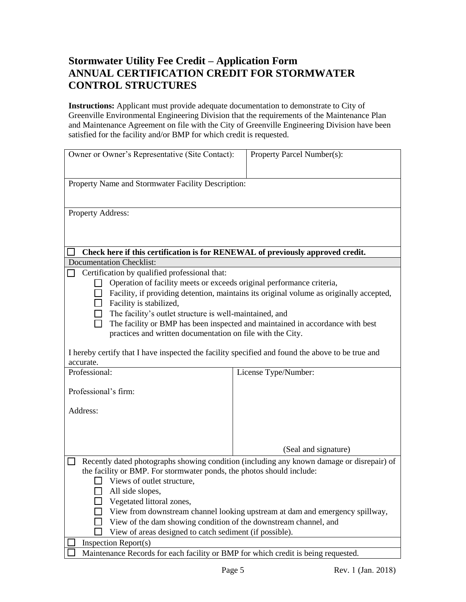#### **Stormwater Utility Fee Credit – Application Form ANNUAL CERTIFICATION CREDIT FOR STORMWATER CONTROL STRUCTURES**

**Instructions:** Applicant must provide adequate documentation to demonstrate to City of Greenville Environmental Engineering Division that the requirements of the Maintenance Plan and Maintenance Agreement on file with the City of Greenville Engineering Division have been satisfied for the facility and/or BMP for which credit is requested.

| Owner or Owner's Representative (Site Contact):                                                  | Property Parcel Number(s):                                                              |  |
|--------------------------------------------------------------------------------------------------|-----------------------------------------------------------------------------------------|--|
| Property Name and Stormwater Facility Description:                                               |                                                                                         |  |
| Property Address:                                                                                |                                                                                         |  |
|                                                                                                  |                                                                                         |  |
| Check here if this certification is for RENEWAL of previously approved credit.                   |                                                                                         |  |
| <b>Documentation Checklist:</b>                                                                  |                                                                                         |  |
| Certification by qualified professional that:                                                    |                                                                                         |  |
| Operation of facility meets or exceeds original performance criteria,                            |                                                                                         |  |
| Facility is stabilized,                                                                          | Facility, if providing detention, maintains its original volume as originally accepted, |  |
| The facility's outlet structure is well-maintained, and                                          |                                                                                         |  |
| $\Box$                                                                                           | The facility or BMP has been inspected and maintained in accordance with best           |  |
| practices and written documentation on file with the City.                                       |                                                                                         |  |
|                                                                                                  |                                                                                         |  |
| I hereby certify that I have inspected the facility specified and found the above to be true and |                                                                                         |  |
| accurate.                                                                                        |                                                                                         |  |
| Professional:                                                                                    | License Type/Number:                                                                    |  |
| Professional's firm:                                                                             |                                                                                         |  |
|                                                                                                  |                                                                                         |  |
| Address:                                                                                         |                                                                                         |  |
|                                                                                                  |                                                                                         |  |
|                                                                                                  |                                                                                         |  |
|                                                                                                  | (Seal and signature)                                                                    |  |
| Recently dated photographs showing condition (including any known damage or disrepair) of        |                                                                                         |  |
| the facility or BMP. For stormwater ponds, the photos should include:                            |                                                                                         |  |
| Views of outlet structure,                                                                       |                                                                                         |  |
| All side slopes,                                                                                 |                                                                                         |  |
| Vegetated littoral zones,                                                                        |                                                                                         |  |
| View from downstream channel looking upstream at dam and emergency spillway,                     |                                                                                         |  |
| View of the dam showing condition of the downstream channel, and                                 |                                                                                         |  |
| View of areas designed to catch sediment (if possible).                                          |                                                                                         |  |
| Inspection $Report(s)$                                                                           |                                                                                         |  |
| Maintenance Records for each facility or BMP for which credit is being requested.                |                                                                                         |  |